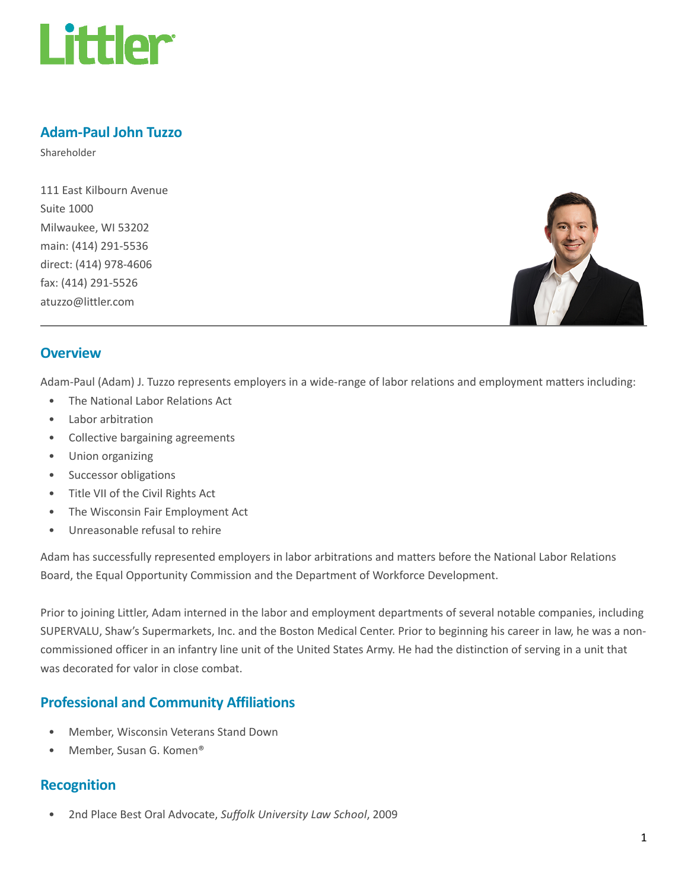

# Adam-Paul John Tuzzo

Shareholder

111 East Kilbourn Avenue Suite 1000 Milwaukee, WI 53202 main: (414) 291-5536 direct: (414) 978-4606 fax: (414) 291-5526 atuzzo@littler.com



### **Overview**

Adam-Paul (Adam) J. Tuzzo represents employers in a wide-range of labor relations and employment matters including:

- The National Labor Relations Act
- Labor arbitration
- Collective bargaining agreements
- Union organizing
- Successor obligations
- Title VII of the Civil Rights Act
- The Wisconsin Fair Employment Act
- Unreasonable refusal to rehire

Adam has successfully represented employers in labor arbitrations and matters before the National Labor Relations Board, the Equal Opportunity Commission and the Department of Workforce Development.

Prior to joining Littler, Adam interned in the labor and employment departments of several notable companies, including SUPERVALU, Shaw's Supermarkets, Inc. and the Boston Medical Center. Prior to beginning his career in law, he was a noncommissioned officer in an infantry line unit of the United States Army. He had the distinction of serving in a unit that was decorated for valor in close combat.

# Professional and Community Affiliations

- Member, Wisconsin Veterans Stand Down
- Member, Susan G. Komen®

#### Recognition

• 2nd Place Best Oral Advocate, Suffolk University Law School, 2009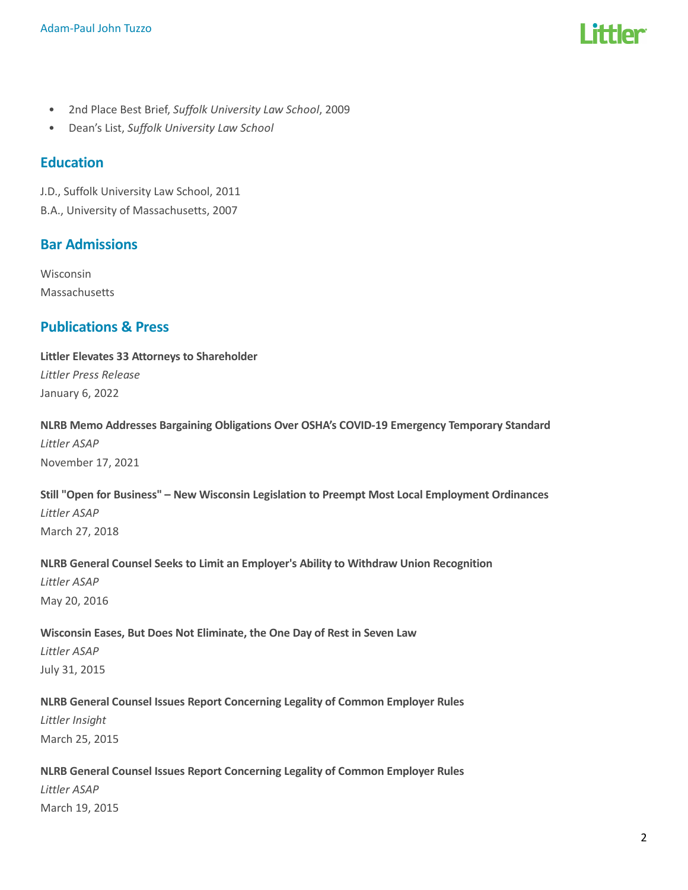

- 2nd Place Best Brief, Suffolk University Law School, 2009
- Dean's List, Suffolk University Law School

### **Education**

J.D., Suffolk University Law School, 2011 B.A., University of Massachusetts, 2007

### Bar Admissions

Wisconsin Massachusetts

# Publications & Press

Littler Elevates 33 Attorneys to Shareholder Littler Press Release January 6, 2022

### NLRB Memo Addresses Bargaining Obligations Over OSHA's COVID-19 Emergency Temporary Standard Littler ASAP

November 17, 2021

### Still "Open for Business" – New Wisconsin Legislation to Preempt Most Local Employment Ordinances Littler ASAP March 27, 2018

# NLRB General Counsel Seeks to Limit an Employer's Ability to Withdraw Union Recognition

Littler ASAP May 20, 2016

#### Wisconsin Eases, But Does Not Eliminate, the One Day of Rest in Seven Law

Littler ASAP July 31, 2015

#### NLRB General Counsel Issues Report Concerning Legality of Common Employer Rules

Littler Insight March 25, 2015

#### NLRB General Counsel Issues Report Concerning Legality of Common Employer Rules

Littler ASAP March 19, 2015